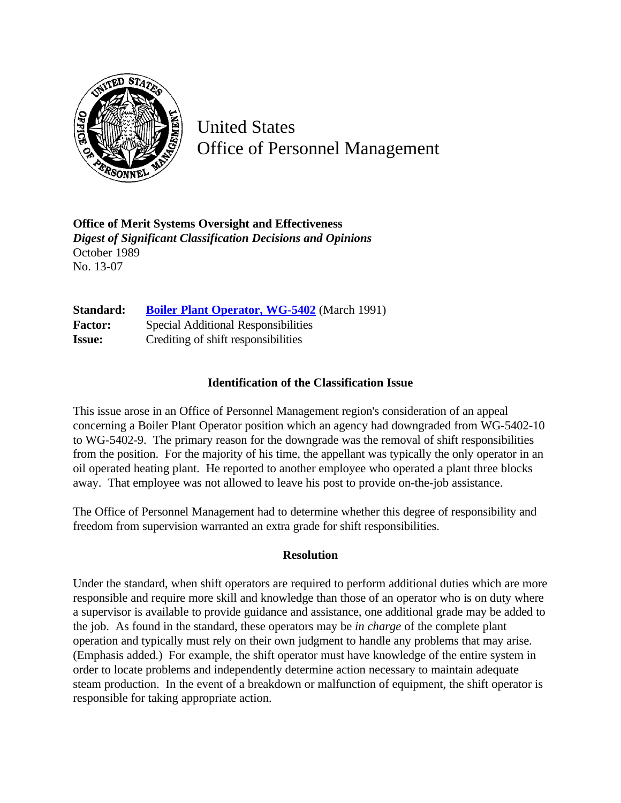

United States Office of Personnel Management

**Office of Merit Systems Oversight and Effectiveness** *Digest of Significant Classification Decisions and Opinions* October 1989 No. 13-07

**Standard:** [Boiler Plant Operator, WG-5402](http://www.opm.gov/hr/fedclass/fws5402.pdf) (March 1991) **Factor:** Special Additional Responsibilities **Issue:** Crediting of shift responsibilities

## **Identification of the Classification Issue**

This issue arose in an Office of Personnel Management region's consideration of an appeal concerning a Boiler Plant Operator position which an agency had downgraded from WG-5402-10 to WG-5402-9. The primary reason for the downgrade was the removal of shift responsibilities from the position. For the majority of his time, the appellant was typically the only operator in an oil operated heating plant. He reported to another employee who operated a plant three blocks away. That employee was not allowed to leave his post to provide on-the-job assistance.

The Office of Personnel Management had to determine whether this degree of responsibility and freedom from supervision warranted an extra grade for shift responsibilities.

## **Resolution**

Under the standard, when shift operators are required to perform additional duties which are more responsible and require more skill and knowledge than those of an operator who is on duty where a supervisor is available to provide guidance and assistance, one additional grade may be added to the job. As found in the standard, these operators may be *in charge* of the complete plant operation and typically must rely on their own judgment to handle any problems that may arise. (Emphasis added.) For example, the shift operator must have knowledge of the entire system in order to locate problems and independently determine action necessary to maintain adequate steam production. In the event of a breakdown or malfunction of equipment, the shift operator is responsible for taking appropriate action.